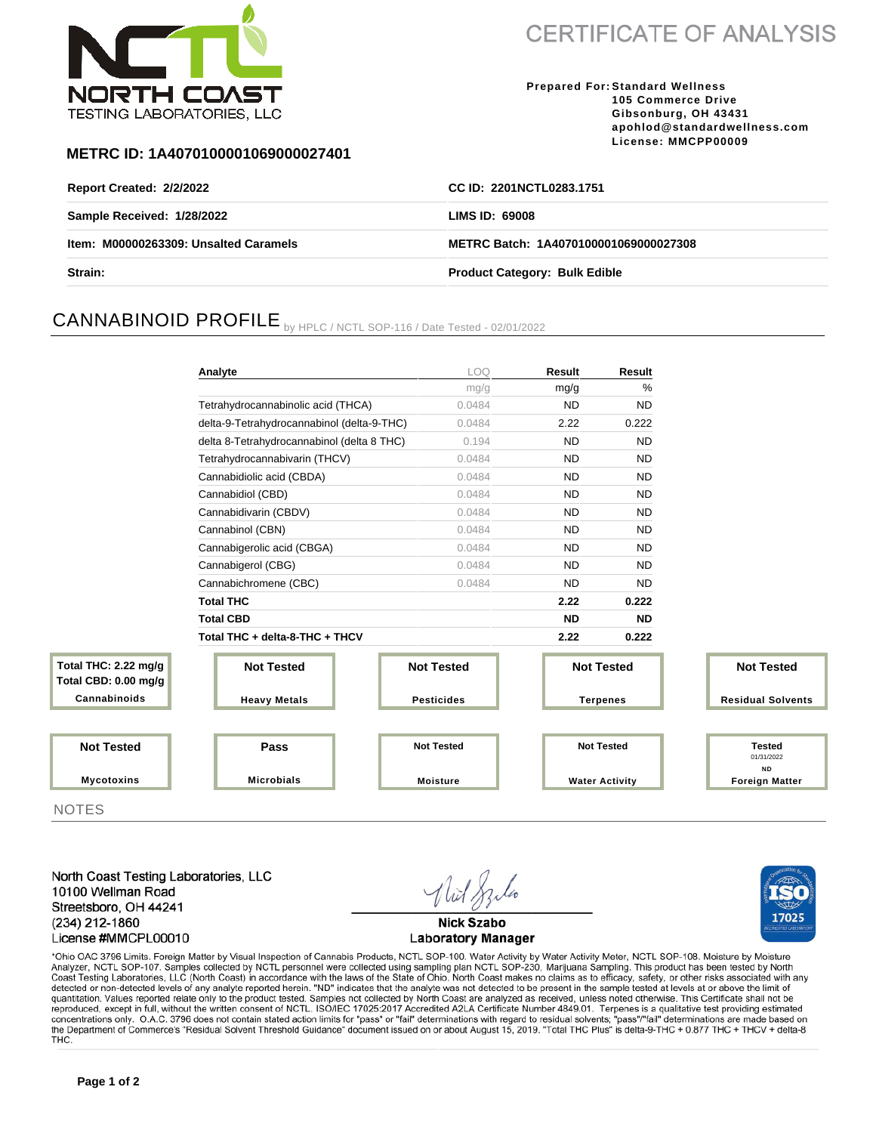

**CERTIFICATE OF ANALYSIS** 

**Prepared For: Standard Wellness 105 Commerce Drive Gibsonburg, OH 43431 apohlod@standardwellness.com License: MMCPP00009**

### **METRC ID: 1A4070100001069000027401**

| Report Created: 2/2/2022              | CC ID: 2201NCTL0283.1751              |  |  |
|---------------------------------------|---------------------------------------|--|--|
| Sample Received: 1/28/2022            | LIMS ID: 69008                        |  |  |
| Item: M00000263309: Unsalted Caramels | METRC Batch: 1A4070100001069000027308 |  |  |
| <b>Strain:</b>                        | <b>Product Category: Bulk Edible</b>  |  |  |

# CANNABINOID PROFILE by HPLC / NCTL SOP-116 / Date Tested - 02/01/2022

|                                              | Analyte                                    | LOQ               | Result                | Result            |                                    |  |
|----------------------------------------------|--------------------------------------------|-------------------|-----------------------|-------------------|------------------------------------|--|
|                                              |                                            | mg/g              | mg/g                  | %                 |                                    |  |
|                                              | Tetrahydrocannabinolic acid (THCA)         | 0.0484            | <b>ND</b>             | <b>ND</b>         |                                    |  |
|                                              | delta-9-Tetrahydrocannabinol (delta-9-THC) | 0.0484            | 2.22                  | 0.222             |                                    |  |
|                                              | delta 8-Tetrahydrocannabinol (delta 8 THC) | 0.194             | <b>ND</b>             | <b>ND</b>         |                                    |  |
|                                              | Tetrahydrocannabivarin (THCV)              | 0.0484            | <b>ND</b>             | <b>ND</b>         |                                    |  |
|                                              | Cannabidiolic acid (CBDA)                  | 0.0484            | <b>ND</b>             | <b>ND</b>         |                                    |  |
|                                              | Cannabidiol (CBD)                          | 0.0484            | <b>ND</b>             | <b>ND</b>         |                                    |  |
|                                              | Cannabidivarin (CBDV)                      | 0.0484            | <b>ND</b>             | <b>ND</b>         |                                    |  |
|                                              | Cannabinol (CBN)                           | 0.0484            | <b>ND</b>             | <b>ND</b>         |                                    |  |
|                                              | Cannabigerolic acid (CBGA)                 | 0.0484            | <b>ND</b>             | <b>ND</b>         |                                    |  |
|                                              | Cannabigerol (CBG)                         | 0.0484            | <b>ND</b>             | <b>ND</b>         |                                    |  |
|                                              | Cannabichromene (CBC)                      | 0.0484            | <b>ND</b>             | <b>ND</b>         |                                    |  |
|                                              | <b>Total THC</b>                           |                   | 2.22                  | 0.222             |                                    |  |
|                                              | <b>Total CBD</b>                           |                   | <b>ND</b>             | <b>ND</b>         |                                    |  |
|                                              | Total THC + delta-8-THC + THCV             |                   | 2.22                  | 0.222             |                                    |  |
| Total THC: 2.22 mg/g<br>Total CBD: 0.00 mg/g | <b>Not Tested</b>                          | <b>Not Tested</b> |                       | <b>Not Tested</b> | <b>Not Tested</b>                  |  |
| Cannabinoids                                 | <b>Heavy Metals</b>                        | <b>Pesticides</b> | <b>Terpenes</b>       |                   | <b>Residual Solvents</b>           |  |
|                                              |                                            |                   |                       |                   |                                    |  |
| <b>Not Tested</b>                            | Pass                                       | <b>Not Tested</b> |                       | <b>Not Tested</b> | <b>Tested</b><br>01/31/2022        |  |
| <b>Mycotoxins</b>                            | <b>Microbials</b><br><b>Moisture</b>       |                   | <b>Water Activity</b> |                   | <b>ND</b><br><b>Foreign Matter</b> |  |

NOTES

North Coast Testing Laboratories, LLC 10100 Wellman Road Streetsboro, OH 44241 (234) 212-1860 License #MMCPL00010

**Nick Szabo Laboratory Manager** 



\*Ohio OAC 3796 Limits. Foreign Matter by Visual Inspection of Cannabis Products, NCTL SOP-100. Water Activity by Water Activity Meter, NCTL SOP-108. Moisture by Moisture Analyzer, NCTL SOP-107. Samples collected by NCTL personnel were collected using sampling plan NCTL SOP-230, Marijuana Sampling. This product has been tested by North Coast Testing Laboratories, LLC (North Coast) in accordance with the laws of the State of Ohio. North Coast makes no claims as to efficacy, safety, or other risks associated with any detected or non-detected levels of any quantitation. Values reported relate only to the product tested. Samples not collected by North Coast are analyzed as received, unless noted otherwise. This Certificate shall not be reproduced, except in full, without the written consent of NCTL. ISO/IEC 17025:2017 Accredited A2LA Certificate Number 4849.01. Terpenes is a qualitative test providing estimated concentrations only. O.A.C. 3796 does not contain stated action limits for "pass" or "fail" determinations with regard to residual solvents; "pass"/"fail" determinations are made based on the Department of Commerce's "Resi THC.